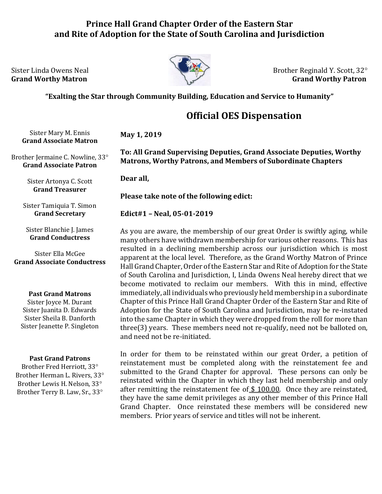## **Prince Hall Grand Chapter Order of the Eastern Star and Rite of Adoption for the State of South Carolina and Jurisdiction**



Sister Linda Owens Neal  $\bigcup_{\alpha} \mathbb{Z}$  Brother Reginald Y. Scott, 32° **Grand Worthy Matron** Grand Worthy Patron Grand Worthy Patron Grand Worthy Patron

### **"Exalting the Star through Community Building, Education and Service to Humanity"**

# **Official OES Dispensation**

Sister Mary M. Ennis **Grand Associate Matron**

Brother Jermaine C. Nowline, 33° **Grand Associate Patron**

> Sister Artonya C. Scott **Grand Treasurer**

Sister Tamiquia T. Simon **Grand Secretary**

Sister Blanchie J. James **Grand Conductress**

Sister Ella McGee **Grand Associate Conductress**

#### **Past Grand Matrons**

Sister Joyce M. Durant Sister Juanita D. Edwards Sister Sheila B. Danforth Sister Jeanette P. Singleton

#### **Past Grand Patrons**

Brother Fred Herriott, 33 Brother Herman L. Rivers, 33 Brother Lewis H. Nelson, 33 Brother Terry B. Law, Sr., 33

**To: All Grand Supervising Deputies, Grand Associate Deputies, Worthy Matrons, Worthy Patrons, and Members of Subordinate Chapters**

**Dear all,**

**May 1, 2019**

**Please take note of the following edict:**

**Edict#1 – Neal, 05-01-2019**

As you are aware, the membership of our great Order is swiftly aging, while many others have withdrawn membership for various other reasons. This has resulted in a declining membership across our jurisdiction which is most apparent at the local level. Therefore, as the Grand Worthy Matron of Prince Hall Grand Chapter, Order of the Eastern Star and Rite of Adoption for the State of South Carolina and Jurisdiction, I, Linda Owens Neal hereby direct that we become motivated to reclaim our members. With this in mind, effective immediately, all individuals who previously held membership in a subordinate Chapter of this Prince Hall Grand Chapter Order of the Eastern Star and Rite of Adoption for the State of South Carolina and Jurisdiction, may be re-instated into the same Chapter in which they were dropped from the roll for more than three(3) years. These members need not re-qualify, need not be balloted on, and need not be re-initiated.

In order for them to be reinstated within our great Order, a petition of reinstatement must be completed along with the reinstatement fee and submitted to the Grand Chapter for approval. These persons can only be reinstated within the Chapter in which they last held membership and only after remitting the reinstatement fee of \$100.00. Once they are reinstated, they have the same demit privileges as any other member of this Prince Hall Grand Chapter. Once reinstated these members will be considered new members. Prior years of service and titles will not be inherent.